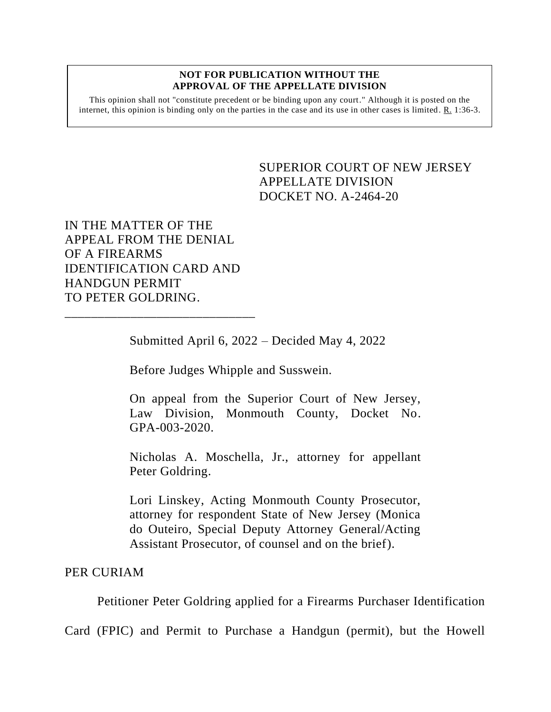## **NOT FOR PUBLICATION WITHOUT THE APPROVAL OF THE APPELLATE DIVISION**

This opinion shall not "constitute precedent or be binding upon any court." Although it is posted on the internet, this opinion is binding only on the parties in the case and its use in other cases is limited. R. 1:36-3.

> <span id="page-0-0"></span>SUPERIOR COURT OF NEW JERSEY APPELLATE DIVISION DOCKET NO. A-2464-20

IN THE MATTER OF THE APPEAL FROM THE DENIAL OF A FIREARMS IDENTIFICATION CARD AND HANDGUN PERMIT TO PETER GOLDRING.

\_\_\_\_\_\_\_\_\_\_\_\_\_\_\_\_\_\_\_\_\_\_\_\_\_\_\_\_\_

Submitted April 6, 2022 – Decided May 4, 2022

Before Judges Whipple and Susswein.

On appeal from the Superior Court of New Jersey, Law Division, Monmouth County, Docket No. GPA-003-2020.

Nicholas A. Moschella, Jr., attorney for appellant Peter Goldring.

Lori Linskey, Acting Monmouth County Prosecutor, attorney for respondent State of New Jersey (Monica do Outeiro, Special Deputy Attorney General/Acting Assistant Prosecutor, of counsel and on the brief).

PER CURIAM

Petitioner Peter Goldring applied for a Firearms Purchaser Identification

Card (FPIC) and Permit to Purchase a Handgun (permit), but the Howell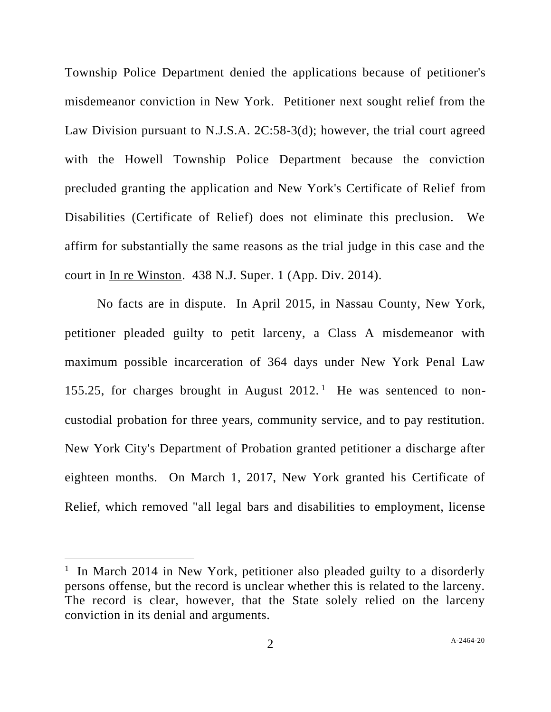Township Police Department denied the applications because of petitioner's misdemeanor conviction in New York. Petitioner next sought relief from the Law Division pursuant to N.J.S.A. 2C:58-3(d); however, the trial court agreed with the Howell Township Police Department because the conviction precluded granting the application and New York's Certificate of Relief from Disabilities (Certificate of Relief) does not eliminate this preclusion. We affirm for substantially the same reasons as the trial judge in this case and the court in In re Winston. 438 N.J. Super. 1 (App. Div. 2014).

No facts are in dispute. In April 2015, in Nassau County, New York, petitioner pleaded guilty to petit larceny, a Class A misdemeanor with maximum possible incarceration of 364 days under New York Penal Law 155.25, for charges brought in August  $2012$ .<sup>1</sup> He was sentenced to noncustodial probation for three years, community service, and to pay restitution. New York City's Department of Probation granted petitioner a discharge after eighteen months. On March 1, 2017, New York granted his Certificate of Relief, which removed "all legal bars and disabilities to employment, license

<sup>&</sup>lt;sup>1</sup> In March 2014 in New York, petitioner also pleaded guilty to a disorderly persons offense, but the record is unclear whether this is related to the larceny. The record is clear, however, that the State solely relied on the larceny conviction in its denial and arguments.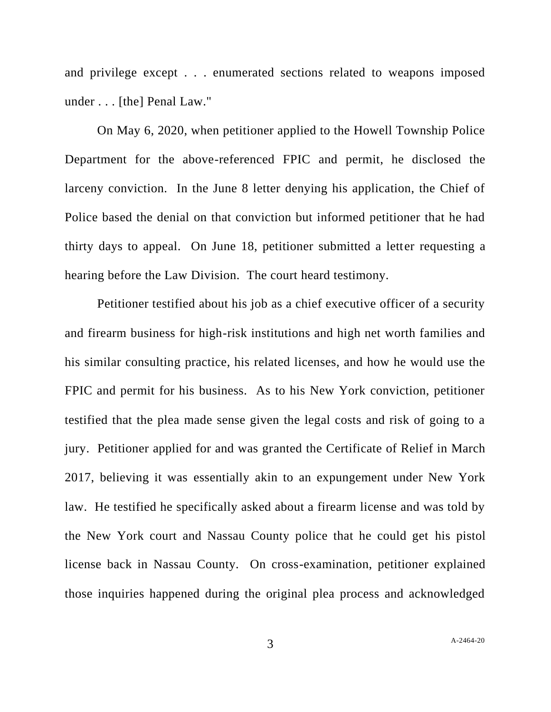and privilege except . . . enumerated sections related to weapons imposed under . . . [the] Penal Law."

On May 6, 2020, when petitioner applied to the Howell Township Police Department for the above-referenced FPIC and permit, he disclosed the larceny conviction. In the June 8 letter denying his application, the Chief of Police based the denial on that conviction but informed petitioner that he had thirty days to appeal. On June 18, petitioner submitted a letter requesting a hearing before the Law Division. The court heard testimony.

Petitioner testified about his job as a chief executive officer of a security and firearm business for high-risk institutions and high net worth families and his similar consulting practice, his related licenses, and how he would use the FPIC and permit for his business. As to his New York conviction, petitioner testified that the plea made sense given the legal costs and risk of going to a jury. Petitioner applied for and was granted the Certificate of Relief in March 2017, believing it was essentially akin to an expungement under New York law. He testified he specifically asked about a firearm license and was told by the New York court and Nassau County police that he could get his pistol license back in Nassau County. On cross-examination, petitioner explained those inquiries happened during the original plea process and acknowledged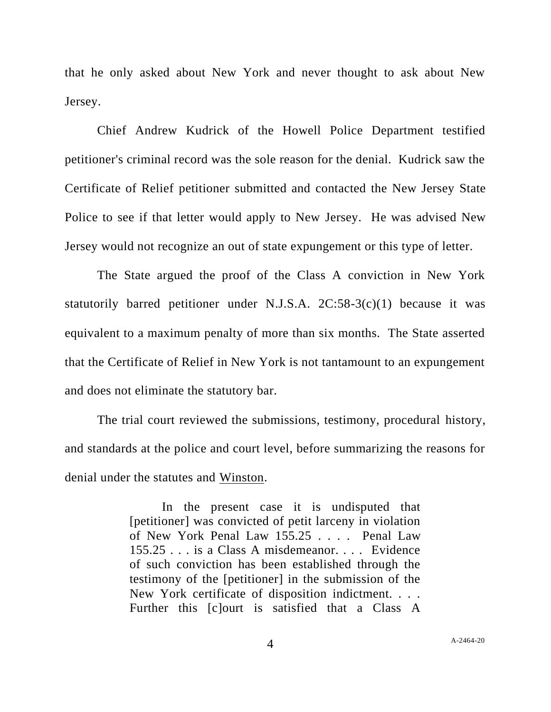that he only asked about New York and never thought to ask about New Jersey.

Chief Andrew Kudrick of the Howell Police Department testified petitioner's criminal record was the sole reason for the denial. Kudrick saw the Certificate of Relief petitioner submitted and contacted the New Jersey State Police to see if that letter would apply to New Jersey. He was advised New Jersey would not recognize an out of state expungement or this type of letter.

The State argued the proof of the Class A conviction in New York statutorily barred petitioner under N.J.S.A.  $2C:58-3(c)(1)$  because it was equivalent to a maximum penalty of more than six months. The State asserted that the Certificate of Relief in New York is not tantamount to an expungement and does not eliminate the statutory bar.

The trial court reviewed the submissions, testimony, procedural history, and standards at the police and court level, before summarizing the reasons for denial under the statutes and Winston.

> In the present case it is undisputed that [petitioner] was convicted of petit larceny in violation of New York Penal Law 155.25 . . . . Penal Law 155.25 . . . is a Class A misdemeanor. . . . Evidence of such conviction has been established through the testimony of the [petitioner] in the submission of the New York certificate of disposition indictment. . . . Further this [c]ourt is satisfied that a Class A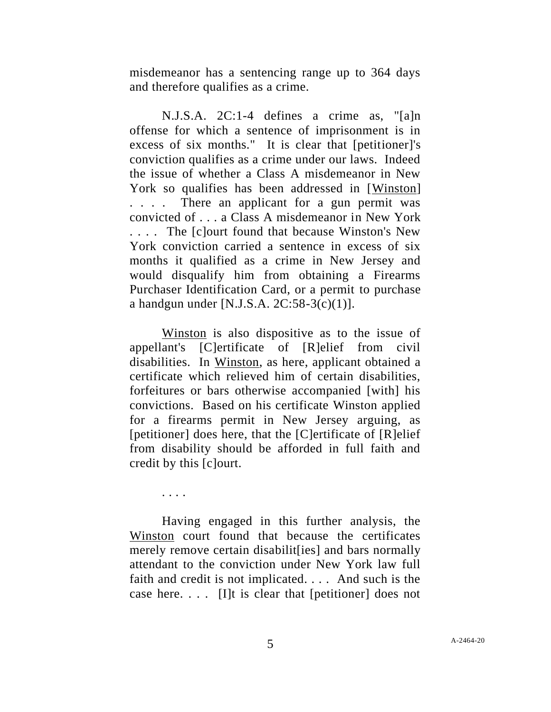misdemeanor has a sentencing range up to 364 days and therefore qualifies as a crime.

N.J.S.A. 2C:1-4 defines a crime as, "[a]n offense for which a sentence of imprisonment is in excess of six months." It is clear that [petitioner]'s conviction qualifies as a crime under our laws. Indeed the issue of whether a Class A misdemeanor in New York so qualifies has been addressed in [Winston] . . . . There an applicant for a gun permit was convicted of . . . a Class A misdemeanor in New York . . . . The [c]ourt found that because Winston's New York conviction carried a sentence in excess of six months it qualified as a crime in New Jersey and would disqualify him from obtaining a Firearms Purchaser Identification Card, or a permit to purchase a handgun under [N.J.S.A.  $2C:58-3(c)(1)$ ].

Winston is also dispositive as to the issue of appellant's [C]ertificate of [R]elief from civil disabilities. In Winston, as here, applicant obtained a certificate which relieved him of certain disabilities, forfeitures or bars otherwise accompanied [with] his convictions. Based on his certificate Winston applied for a firearms permit in New Jersey arguing, as [petitioner] does here, that the [C]ertificate of [R]elief from disability should be afforded in full faith and credit by this [c]ourt.

. . . .

Having engaged in this further analysis, the Winston court found that because the certificates merely remove certain disabilit [ies] and bars normally attendant to the conviction under New York law full faith and credit is not implicated. . . . And such is the case here. . . . [I]t is clear that [petitioner] does not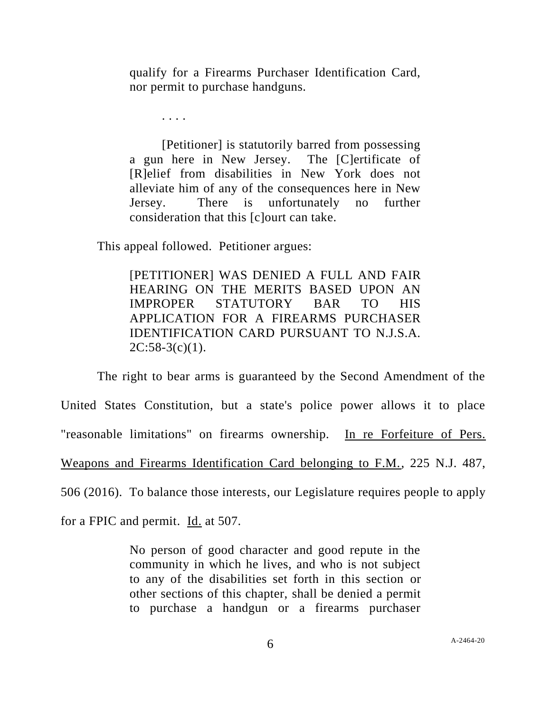qualify for a Firearms Purchaser Identification Card, nor permit to purchase handguns.

. . . .

[Petitioner] is statutorily barred from possessing a gun here in New Jersey. The [C]ertificate of [R]elief from disabilities in New York does not alleviate him of any of the consequences here in New Jersey. There is unfortunately no further consideration that this [c]ourt can take.

This appeal followed. Petitioner argues:

[PETITIONER] WAS DENIED A FULL AND FAIR HEARING ON THE MERITS BASED UPON AN IMPROPER STATUTORY BAR TO HIS APPLICATION FOR A FIREARMS PURCHASER IDENTIFICATION CARD PURSUANT TO N.J.S.A.  $2C:58-3(c)(1)$ .

The right to bear arms is guaranteed by the Second Amendment of the United States Constitution, but a state's police power allows it to place "reasonable limitations" on firearms ownership. In re Forfeiture of Pers. Weapons and Firearms Identification Card belonging to F.M., 225 N.J. 487, 506 (2016). To balance those interests, our Legislature requires people to apply

for a FPIC and permit. Id. at 507.

No person of good character and good repute in the community in which he lives, and who is not subject to any of the disabilities set forth in this section or other sections of this chapter, shall be denied a permit to purchase a handgun or a firearms purchaser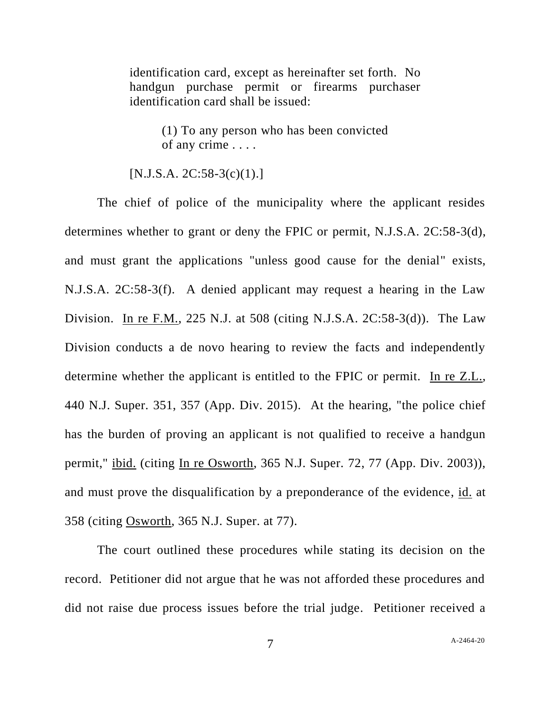identification card, except as hereinafter set forth. No handgun purchase permit or firearms purchaser identification card shall be issued:

> (1) To any person who has been convicted of any crime . . . .

## $[N.J.S.A. 2C:58-3(c)(1).]$

The chief of police of the municipality where the applicant resides determines whether to grant or deny the FPIC or permit, N.J.S.A. 2C:58-3(d), and must grant the applications "unless good cause for the denial" exists, N.J.S.A. 2C:58-3(f). A denied applicant may request a hearing in the Law Division. In re F.M., 225 N.J. at 508 (citing N.J.S.A. 2C:58-3(d)). The Law Division conducts a de novo hearing to review the facts and independently determine whether the applicant is entitled to the FPIC or permit. In re Z.L., 440 N.J. Super. 351, 357 (App. Div. 2015). At the hearing, "the police chief has the burden of proving an applicant is not qualified to receive a handgun permit," ibid. (citing In re Osworth, 365 N.J. Super. 72, 77 (App. Div. 2003)), and must prove the disqualification by a preponderance of the evidence, id. at 358 (citing Osworth, 365 N.J. Super. at 77).

The court outlined these procedures while stating its decision on the record. Petitioner did not argue that he was not afforded these procedures and did not raise due process issues before the trial judge. Petitioner received a